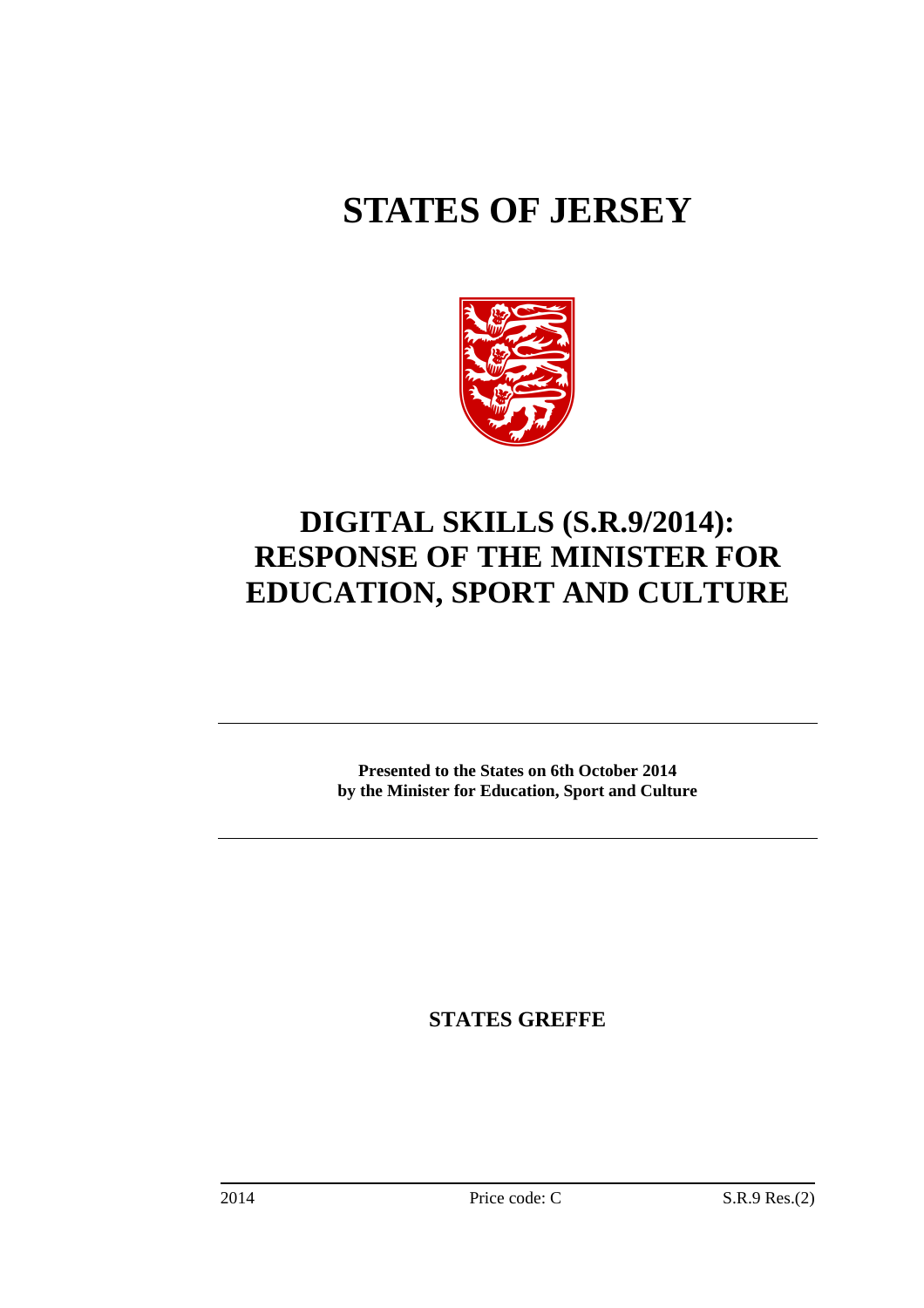# **STATES OF JERSEY**



## **DIGITAL SKILLS (S.R.9/2014): RESPONSE OF THE MINISTER FOR EDUCATION, SPORT AND CULTURE**

**Presented to the States on 6th October 2014 by the Minister for Education, Sport and Culture** 

**STATES GREFFE**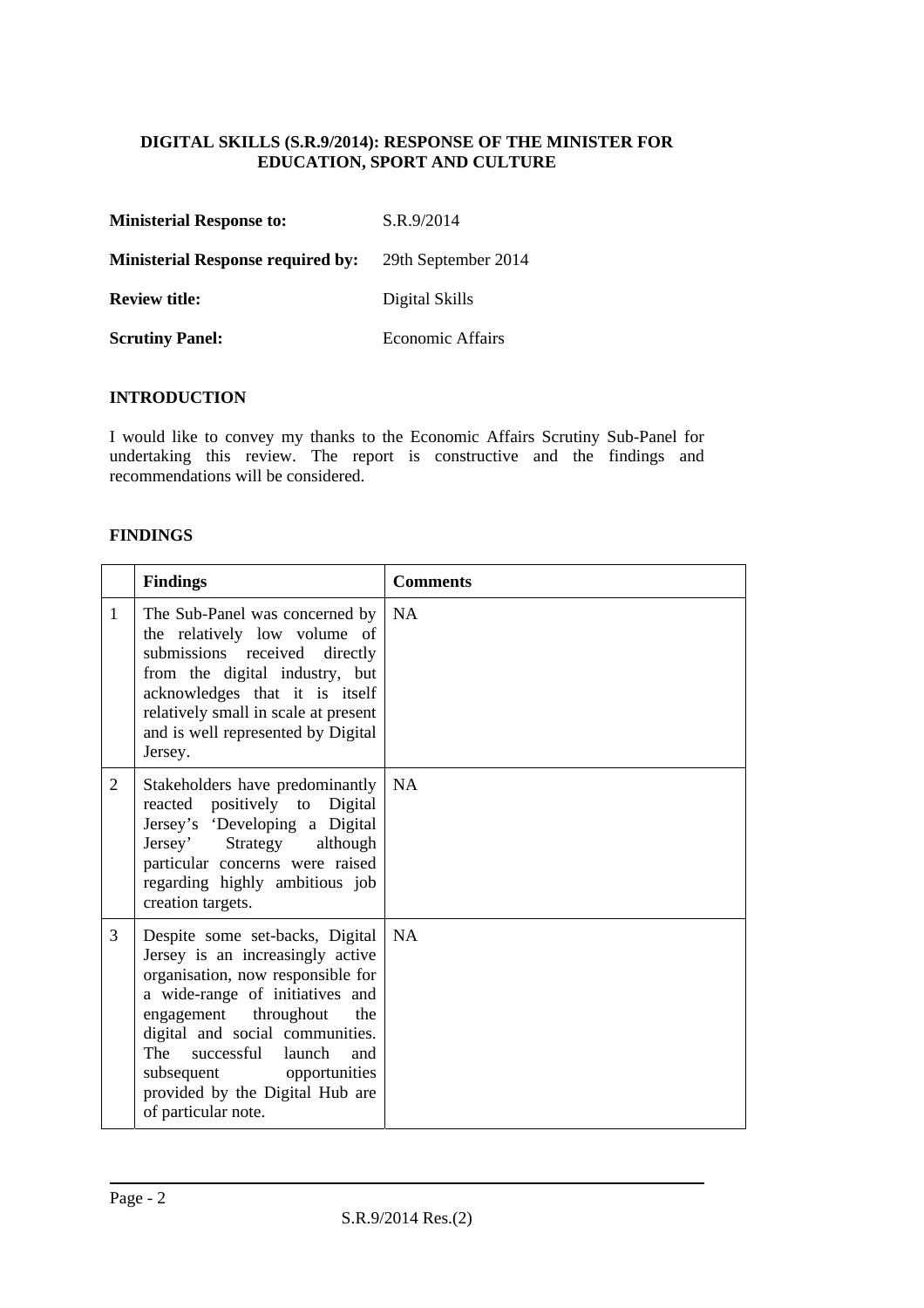#### **DIGITAL SKILLS (S.R.9/2014): RESPONSE OF THE MINISTER FOR EDUCATION, SPORT AND CULTURE**

| <b>Ministerial Response to:</b>          | S.R.9/2014          |
|------------------------------------------|---------------------|
| <b>Ministerial Response required by:</b> | 29th September 2014 |
| <b>Review title:</b>                     | Digital Skills      |
| <b>Scrutiny Panel:</b>                   | Economic Affairs    |

#### **INTRODUCTION**

I would like to convey my thanks to the Economic Affairs Scrutiny Sub-Panel for undertaking this review. The report is constructive and the findings and recommendations will be considered.

#### **FINDINGS**

|                | <b>Findings</b>                                                                                                                                                                                                                                                                                                                      | <b>Comments</b> |
|----------------|--------------------------------------------------------------------------------------------------------------------------------------------------------------------------------------------------------------------------------------------------------------------------------------------------------------------------------------|-----------------|
| 1              | The Sub-Panel was concerned by<br>the relatively low volume of<br>submissions received directly<br>from the digital industry, but<br>acknowledges that it is itself<br>relatively small in scale at present<br>and is well represented by Digital<br>Jersey.                                                                         | <b>NA</b>       |
| $\overline{2}$ | Stakeholders have predominantly<br>reacted positively to Digital<br>Jersey's 'Developing a Digital<br>Jersey' Strategy although<br>particular concerns were raised<br>regarding highly ambitious job<br>creation targets.                                                                                                            | <b>NA</b>       |
| 3              | Despite some set-backs, Digital<br>Jersey is an increasingly active<br>organisation, now responsible for<br>a wide-range of initiatives and<br>engagement throughout<br>the<br>digital and social communities.<br>The successful launch<br>and<br>subsequent opportunities<br>provided by the Digital Hub are<br>of particular note. | <b>NA</b>       |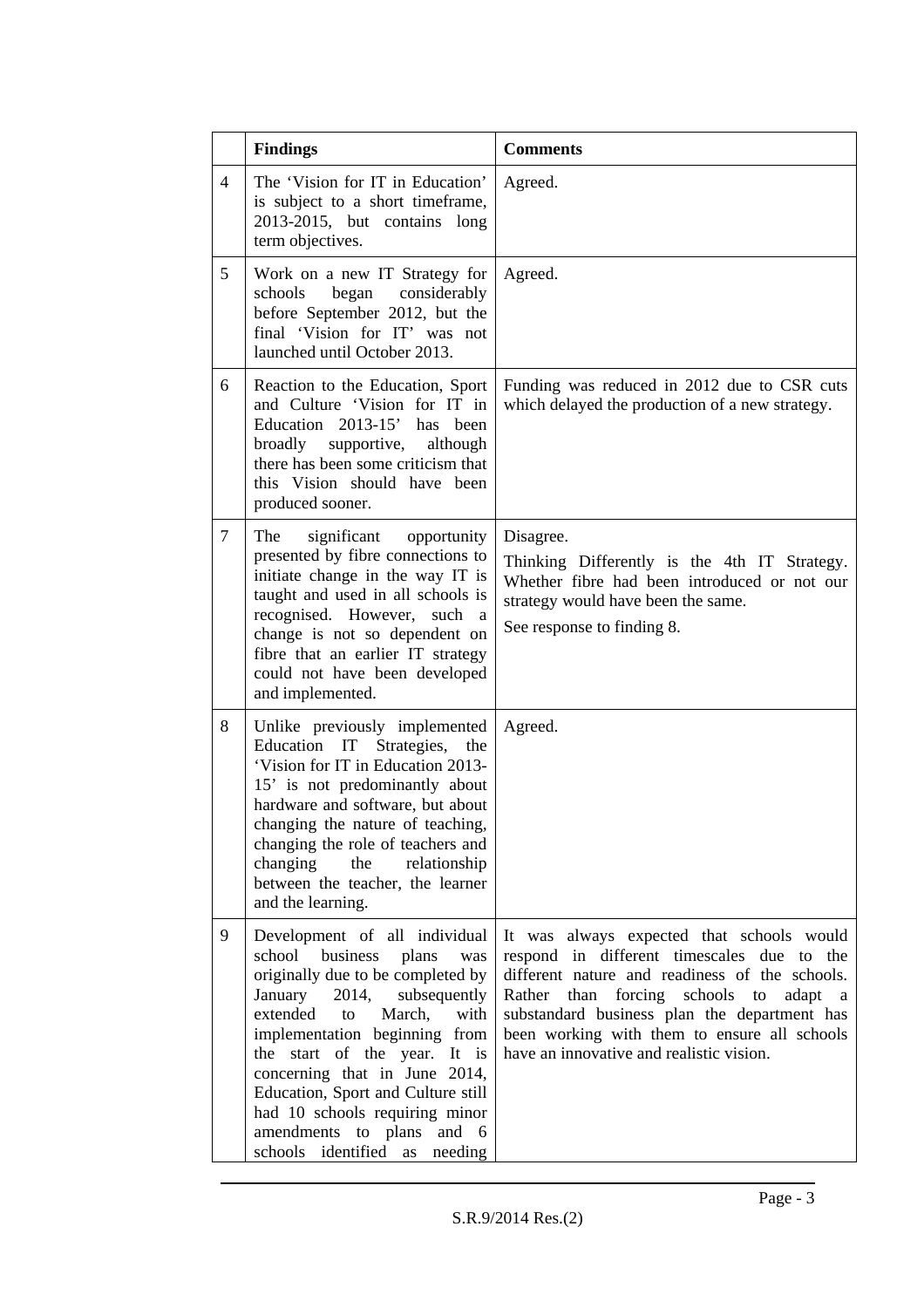|                | <b>Findings</b>                                                                                                                                                                                                                                                                                                                                                                                                             | <b>Comments</b>                                                                                                                                                                                                                                                                                                                                        |
|----------------|-----------------------------------------------------------------------------------------------------------------------------------------------------------------------------------------------------------------------------------------------------------------------------------------------------------------------------------------------------------------------------------------------------------------------------|--------------------------------------------------------------------------------------------------------------------------------------------------------------------------------------------------------------------------------------------------------------------------------------------------------------------------------------------------------|
| $\overline{4}$ | The 'Vision for IT in Education'<br>is subject to a short timeframe,<br>2013-2015, but contains long<br>term objectives.                                                                                                                                                                                                                                                                                                    | Agreed.                                                                                                                                                                                                                                                                                                                                                |
| 5              | Work on a new IT Strategy for<br>schools began<br>considerably<br>before September 2012, but the<br>final 'Vision for IT' was not<br>launched until October 2013.                                                                                                                                                                                                                                                           | Agreed.                                                                                                                                                                                                                                                                                                                                                |
| 6              | Reaction to the Education, Sport<br>and Culture 'Vision for IT in<br>Education 2013-15' has<br>been<br>broadly<br>supportive,<br>although<br>there has been some criticism that<br>this Vision should have been<br>produced sooner.                                                                                                                                                                                         | Funding was reduced in 2012 due to CSR cuts<br>which delayed the production of a new strategy.                                                                                                                                                                                                                                                         |
| $\overline{7}$ | The<br>significant<br>opportunity<br>presented by fibre connections to<br>initiate change in the way IT is<br>taught and used in all schools is<br>recognised. However, such a<br>change is not so dependent on<br>fibre that an earlier IT strategy<br>could not have been developed<br>and implemented.                                                                                                                   | Disagree.<br>Thinking Differently is the 4th IT Strategy.<br>Whether fibre had been introduced or not our<br>strategy would have been the same.<br>See response to finding 8.                                                                                                                                                                          |
| 8              | Unlike previously implemented<br>Education IT<br>Strategies,<br>the<br>'Vision for IT in Education 2013-<br>15' is not predominantly about<br>hardware and software, but about<br>changing the nature of teaching,<br>changing the role of teachers and<br>changing<br>the<br>relationship<br>between the teacher, the learner<br>and the learning.                                                                         | Agreed.                                                                                                                                                                                                                                                                                                                                                |
| 9              | Development of all individual<br>school<br>business<br>plans<br>was<br>originally due to be completed by<br>January<br>2014,<br>subsequently<br>extended<br>to<br>March,<br>with<br>implementation beginning from<br>the start of the year. It is<br>concerning that in June 2014,<br>Education, Sport and Culture still<br>had 10 schools requiring minor<br>amendments to plans and 6<br>schools identified as<br>needing | It was always expected that schools would<br>respond in different timescales due to the<br>different nature and readiness of the schools.<br>Rather<br>forcing schools to<br>than<br>adapt<br><sub>a</sub><br>substandard business plan the department has<br>been working with them to ensure all schools<br>have an innovative and realistic vision. |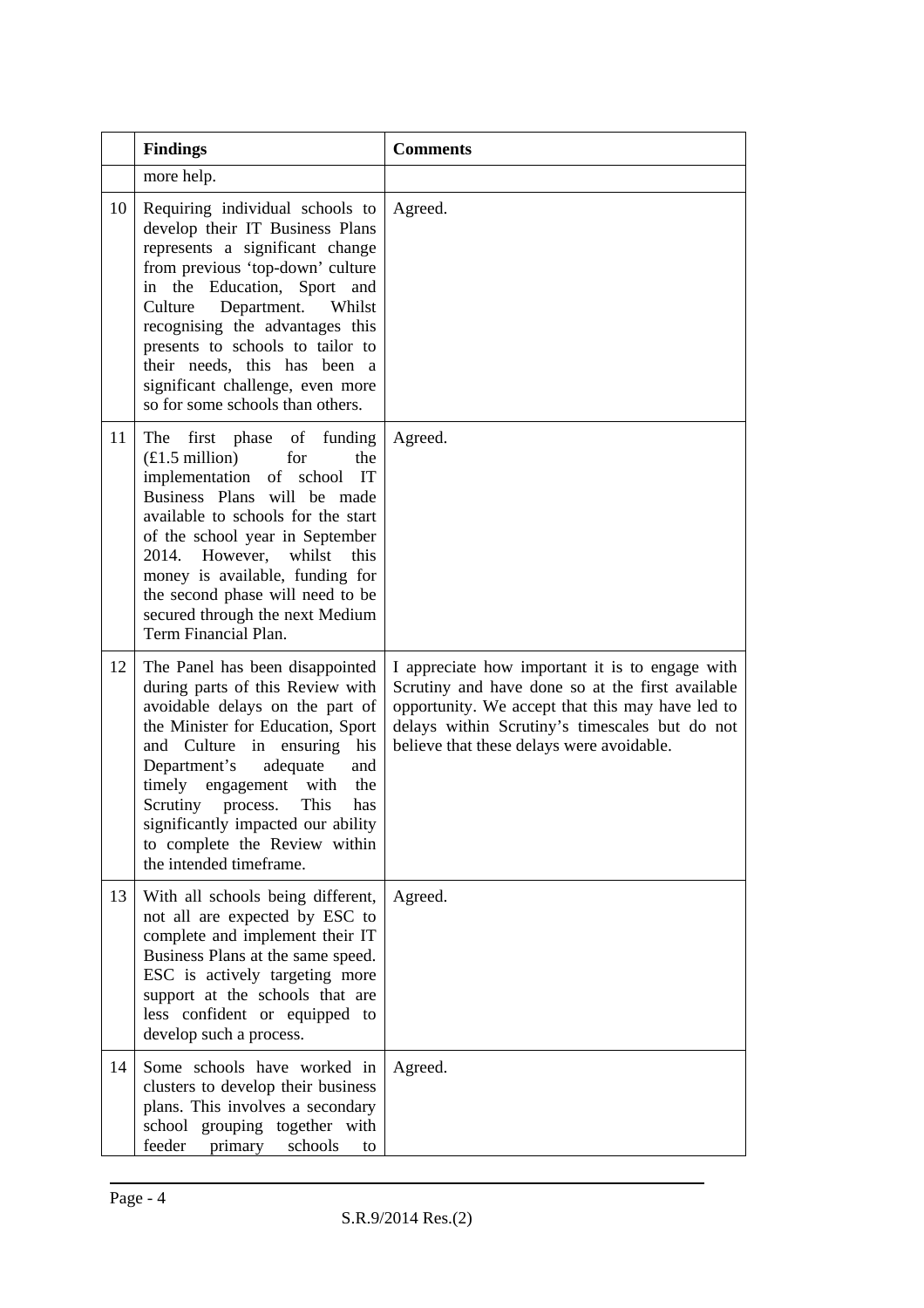|    | <b>Findings</b>                                                                                                                                                                                                                                                                                                                                                                             | <b>Comments</b>                                                                                                                                                                                                                                        |
|----|---------------------------------------------------------------------------------------------------------------------------------------------------------------------------------------------------------------------------------------------------------------------------------------------------------------------------------------------------------------------------------------------|--------------------------------------------------------------------------------------------------------------------------------------------------------------------------------------------------------------------------------------------------------|
|    | more help.                                                                                                                                                                                                                                                                                                                                                                                  |                                                                                                                                                                                                                                                        |
| 10 | Requiring individual schools to<br>develop their IT Business Plans<br>represents a significant change<br>from previous 'top-down' culture<br>in the Education, Sport and<br>Department.<br>Culture<br>Whilst<br>recognising the advantages this<br>presents to schools to tailor to<br>their needs, this has been a<br>significant challenge, even more<br>so for some schools than others. | Agreed.                                                                                                                                                                                                                                                |
| 11 | The first phase of funding<br>$£1.5$ million)<br>for<br>the<br>implementation of school IT<br>Business Plans will be made<br>available to schools for the start<br>of the school year in September<br>2014. However,<br>whilst<br>this<br>money is available, funding for<br>the second phase will need to be<br>secured through the next Medium<br>Term Financial Plan.                    | Agreed.                                                                                                                                                                                                                                                |
| 12 | The Panel has been disappointed<br>during parts of this Review with<br>avoidable delays on the part of<br>the Minister for Education, Sport<br>and Culture in ensuring his<br>Department's<br>adequate<br>and<br>timely engagement with<br>the<br>This<br>Scrutiny process.<br>has<br>significantly impacted our ability<br>to complete the Review within<br>the intended timeframe.        | I appreciate how important it is to engage with<br>Scrutiny and have done so at the first available<br>opportunity. We accept that this may have led to<br>delays within Scrutiny's timescales but do not<br>believe that these delays were avoidable. |
| 13 | With all schools being different,<br>not all are expected by ESC to<br>complete and implement their IT<br>Business Plans at the same speed.<br>ESC is actively targeting more<br>support at the schools that are<br>less confident or equipped to<br>develop such a process.                                                                                                                | Agreed.                                                                                                                                                                                                                                                |
| 14 | Some schools have worked in<br>clusters to develop their business<br>plans. This involves a secondary<br>grouping together with<br>school<br>feeder<br>schools<br>primary<br>to                                                                                                                                                                                                             | Agreed.                                                                                                                                                                                                                                                |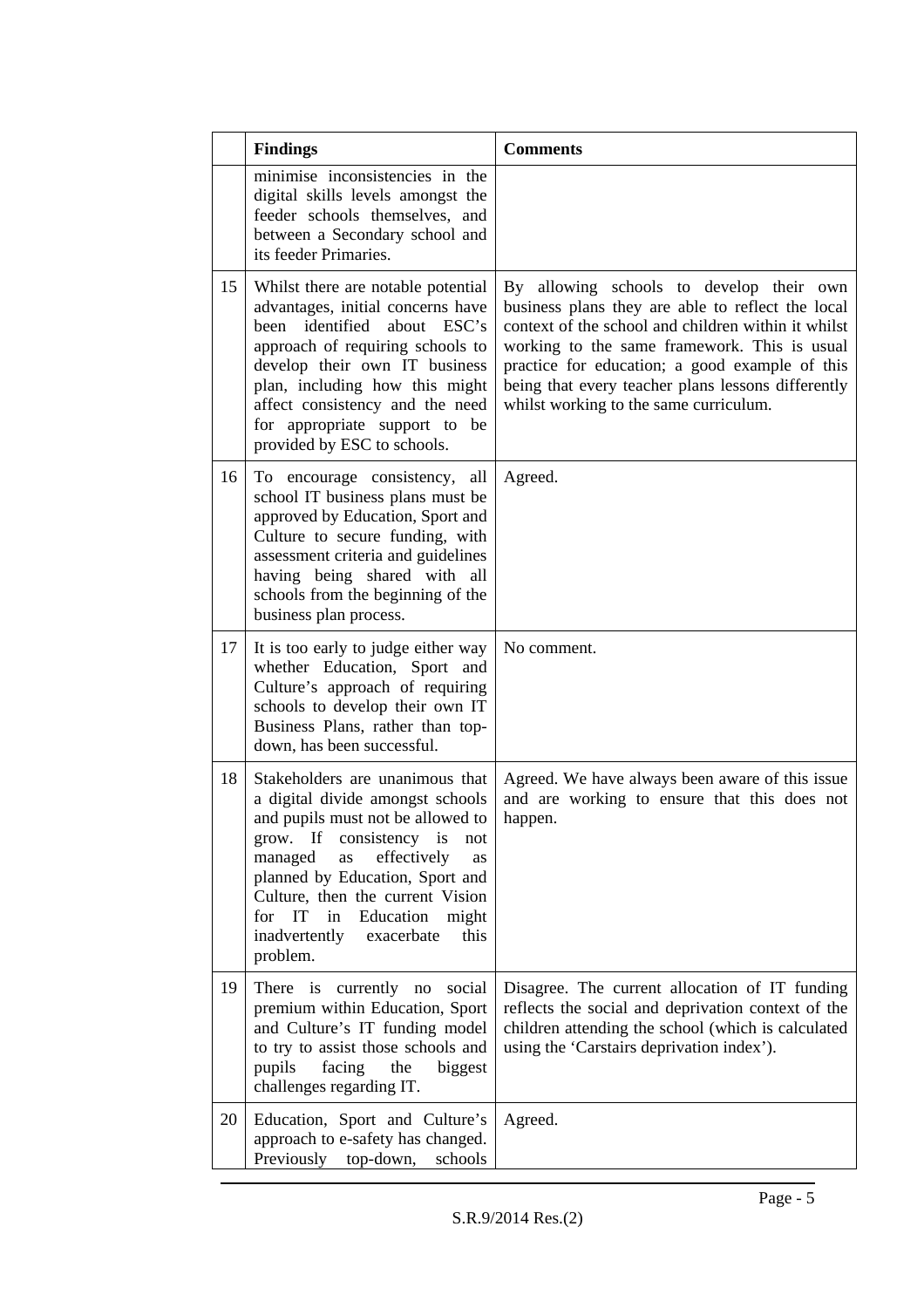|    | <b>Findings</b>                                                                                                                                                                                                                                                                                                                         | <b>Comments</b>                                                                                                                                                                                                                                                                                                                                        |
|----|-----------------------------------------------------------------------------------------------------------------------------------------------------------------------------------------------------------------------------------------------------------------------------------------------------------------------------------------|--------------------------------------------------------------------------------------------------------------------------------------------------------------------------------------------------------------------------------------------------------------------------------------------------------------------------------------------------------|
|    | minimise inconsistencies in the<br>digital skills levels amongst the<br>feeder schools themselves, and<br>between a Secondary school and<br>its feeder Primaries.                                                                                                                                                                       |                                                                                                                                                                                                                                                                                                                                                        |
| 15 | Whilst there are notable potential<br>advantages, initial concerns have<br>been identified about ESC's<br>approach of requiring schools to<br>develop their own IT business<br>plan, including how this might<br>affect consistency and the need<br>for appropriate support to be<br>provided by ESC to schools.                        | By allowing schools to develop their own<br>business plans they are able to reflect the local<br>context of the school and children within it whilst<br>working to the same framework. This is usual<br>practice for education; a good example of this<br>being that every teacher plans lessons differently<br>whilst working to the same curriculum. |
| 16 | To encourage consistency, all<br>school IT business plans must be<br>approved by Education, Sport and<br>Culture to secure funding, with<br>assessment criteria and guidelines<br>having being shared with all<br>schools from the beginning of the<br>business plan process.                                                           | Agreed.                                                                                                                                                                                                                                                                                                                                                |
| 17 | It is too early to judge either way<br>whether Education, Sport and<br>Culture's approach of requiring<br>schools to develop their own IT<br>Business Plans, rather than top-<br>down, has been successful.                                                                                                                             | No comment.                                                                                                                                                                                                                                                                                                                                            |
| 18 | Stakeholders are unanimous that<br>a digital divide amongst schools<br>and pupils must not be allowed to<br>grow. If consistency is<br>not<br>managed<br>as<br>effectively<br>as<br>planned by Education, Sport and<br>Culture, then the current Vision<br>for IT in Education might<br>inadvertently<br>exacerbate<br>this<br>problem. | Agreed. We have always been aware of this issue<br>and are working to ensure that this does not<br>happen.                                                                                                                                                                                                                                             |
| 19 | There is currently no<br>social<br>premium within Education, Sport<br>and Culture's IT funding model<br>to try to assist those schools and<br>pupils<br>facing<br>biggest<br>the<br>challenges regarding IT.                                                                                                                            | Disagree. The current allocation of IT funding<br>reflects the social and deprivation context of the<br>children attending the school (which is calculated<br>using the 'Carstairs deprivation index').                                                                                                                                                |
| 20 | Education, Sport and Culture's<br>approach to e-safety has changed.<br>Previously top-down,<br>schools                                                                                                                                                                                                                                  | Agreed.                                                                                                                                                                                                                                                                                                                                                |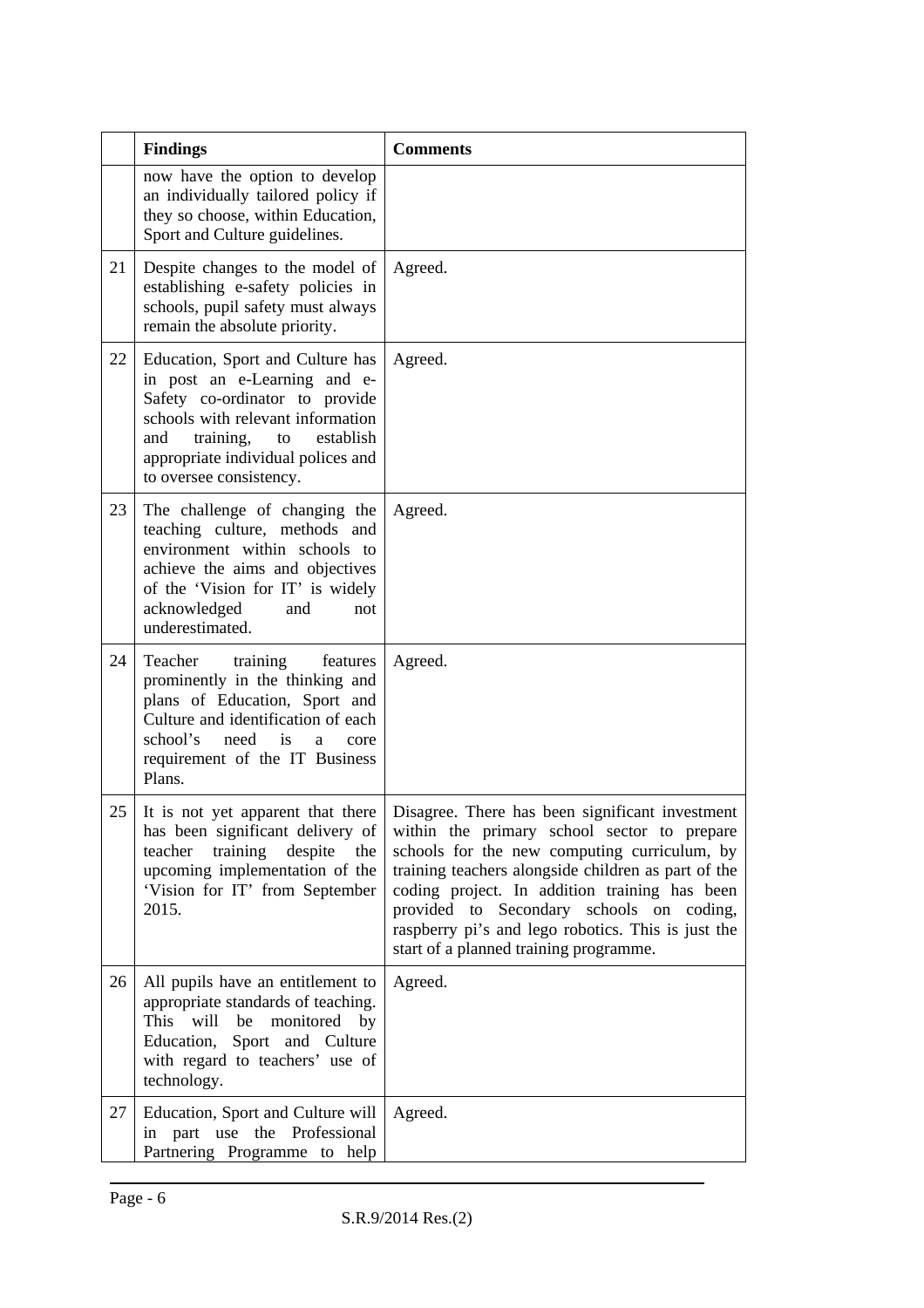|    | <b>Findings</b>                                                                                                                                                                                                                                 | <b>Comments</b>                                                                                                                                                                                                                                                                                                                                                                                    |
|----|-------------------------------------------------------------------------------------------------------------------------------------------------------------------------------------------------------------------------------------------------|----------------------------------------------------------------------------------------------------------------------------------------------------------------------------------------------------------------------------------------------------------------------------------------------------------------------------------------------------------------------------------------------------|
|    | now have the option to develop<br>an individually tailored policy if<br>they so choose, within Education,<br>Sport and Culture guidelines.                                                                                                      |                                                                                                                                                                                                                                                                                                                                                                                                    |
| 21 | Despite changes to the model of<br>establishing e-safety policies in<br>schools, pupil safety must always<br>remain the absolute priority.                                                                                                      | Agreed.                                                                                                                                                                                                                                                                                                                                                                                            |
| 22 | Education, Sport and Culture has<br>in post an e-Learning and e-<br>Safety co-ordinator to provide<br>schools with relevant information<br>training,<br>establish<br>and<br>to<br>appropriate individual polices and<br>to oversee consistency. | Agreed.                                                                                                                                                                                                                                                                                                                                                                                            |
| 23 | The challenge of changing the<br>teaching culture, methods and<br>environment within schools to<br>achieve the aims and objectives<br>of the 'Vision for IT' is widely<br>acknowledged<br>and<br>not<br>underestimated.                         | Agreed.                                                                                                                                                                                                                                                                                                                                                                                            |
| 24 | training<br>Teacher<br>features<br>prominently in the thinking and<br>plans of Education, Sport and<br>Culture and identification of each<br>school's<br>need<br>is<br>a<br>core<br>requirement of the IT Business<br>Plans.                    | Agreed.                                                                                                                                                                                                                                                                                                                                                                                            |
| 25 | It is not yet apparent that there<br>has been significant delivery of<br>teacher training<br>despite<br>the<br>upcoming implementation of the<br>'Vision for IT' from September<br>2015.                                                        | Disagree. There has been significant investment<br>within the primary school sector to prepare<br>schools for the new computing curriculum, by<br>training teachers alongside children as part of the<br>coding project. In addition training has been<br>provided to Secondary schools on coding,<br>raspberry pi's and lego robotics. This is just the<br>start of a planned training programme. |
| 26 | All pupils have an entitlement to<br>appropriate standards of teaching.<br>will<br>This<br>be<br>monitored<br>by<br>Education, Sport and Culture<br>with regard to teachers' use of<br>technology.                                              | Agreed.                                                                                                                                                                                                                                                                                                                                                                                            |
| 27 | Education, Sport and Culture will<br>in part use the Professional<br>Partnering Programme to help                                                                                                                                               | Agreed.                                                                                                                                                                                                                                                                                                                                                                                            |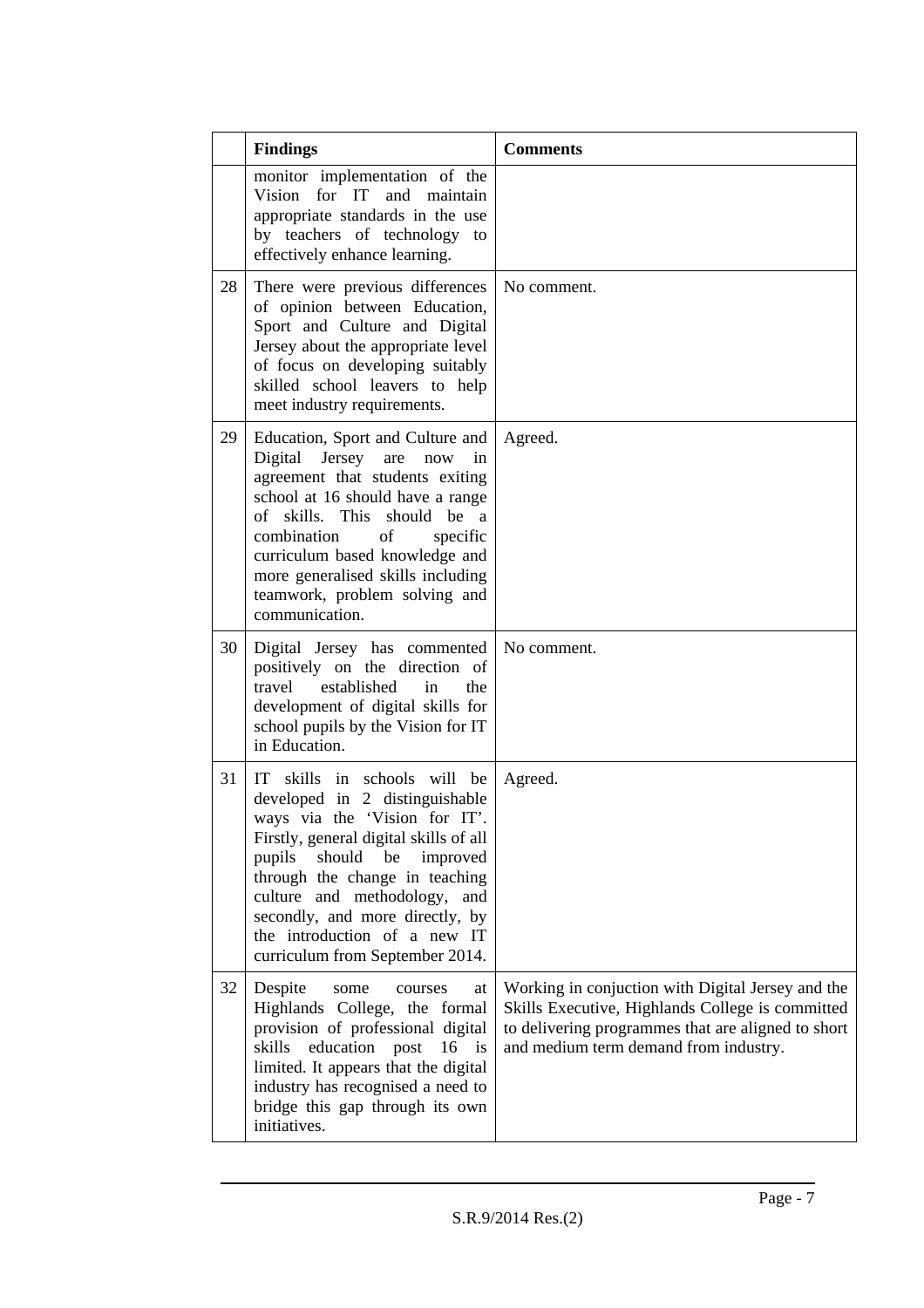|    | <b>Findings</b>                                                                                                                                                                                                                                                                                                                                          | <b>Comments</b>                                                                                                                                                                                      |
|----|----------------------------------------------------------------------------------------------------------------------------------------------------------------------------------------------------------------------------------------------------------------------------------------------------------------------------------------------------------|------------------------------------------------------------------------------------------------------------------------------------------------------------------------------------------------------|
|    | monitor implementation of the<br>Vision for IT<br>and maintain<br>appropriate standards in the use<br>by teachers of technology to<br>effectively enhance learning.                                                                                                                                                                                      |                                                                                                                                                                                                      |
| 28 | There were previous differences<br>of opinion between Education,<br>Sport and Culture and Digital<br>Jersey about the appropriate level<br>of focus on developing suitably<br>skilled school leavers to help<br>meet industry requirements.                                                                                                              | No comment.                                                                                                                                                                                          |
| 29 | Education, Sport and Culture and<br>Digital Jersey<br>are<br>now<br>in<br>agreement that students exiting<br>school at 16 should have a range<br>of skills. This should be a<br>combination<br>of<br>specific<br>curriculum based knowledge and<br>more generalised skills including<br>teamwork, problem solving and<br>communication.                  | Agreed.                                                                                                                                                                                              |
| 30 | Digital Jersey has commented<br>positively on the direction of<br>travel<br>established<br>in<br>the<br>development of digital skills for<br>school pupils by the Vision for IT<br>in Education.                                                                                                                                                         | No comment.                                                                                                                                                                                          |
| 31 | IT —<br>skills in schools will be<br>developed in 2 distinguishable<br>ways via the 'Vision for IT'<br>Firstly, general digital skills of all<br>should be<br>improved<br>pupils<br>through the change in teaching<br>culture and methodology, and<br>secondly, and more directly, by<br>the introduction of a new IT<br>curriculum from September 2014. | Agreed.                                                                                                                                                                                              |
| 32 | Despite<br>some<br>courses<br>at<br>Highlands College, the formal<br>provision of professional digital<br>skills<br>education post<br>$16$ is<br>limited. It appears that the digital<br>industry has recognised a need to<br>bridge this gap through its own<br>initiatives.                                                                            | Working in conjuction with Digital Jersey and the<br>Skills Executive, Highlands College is committed<br>to delivering programmes that are aligned to short<br>and medium term demand from industry. |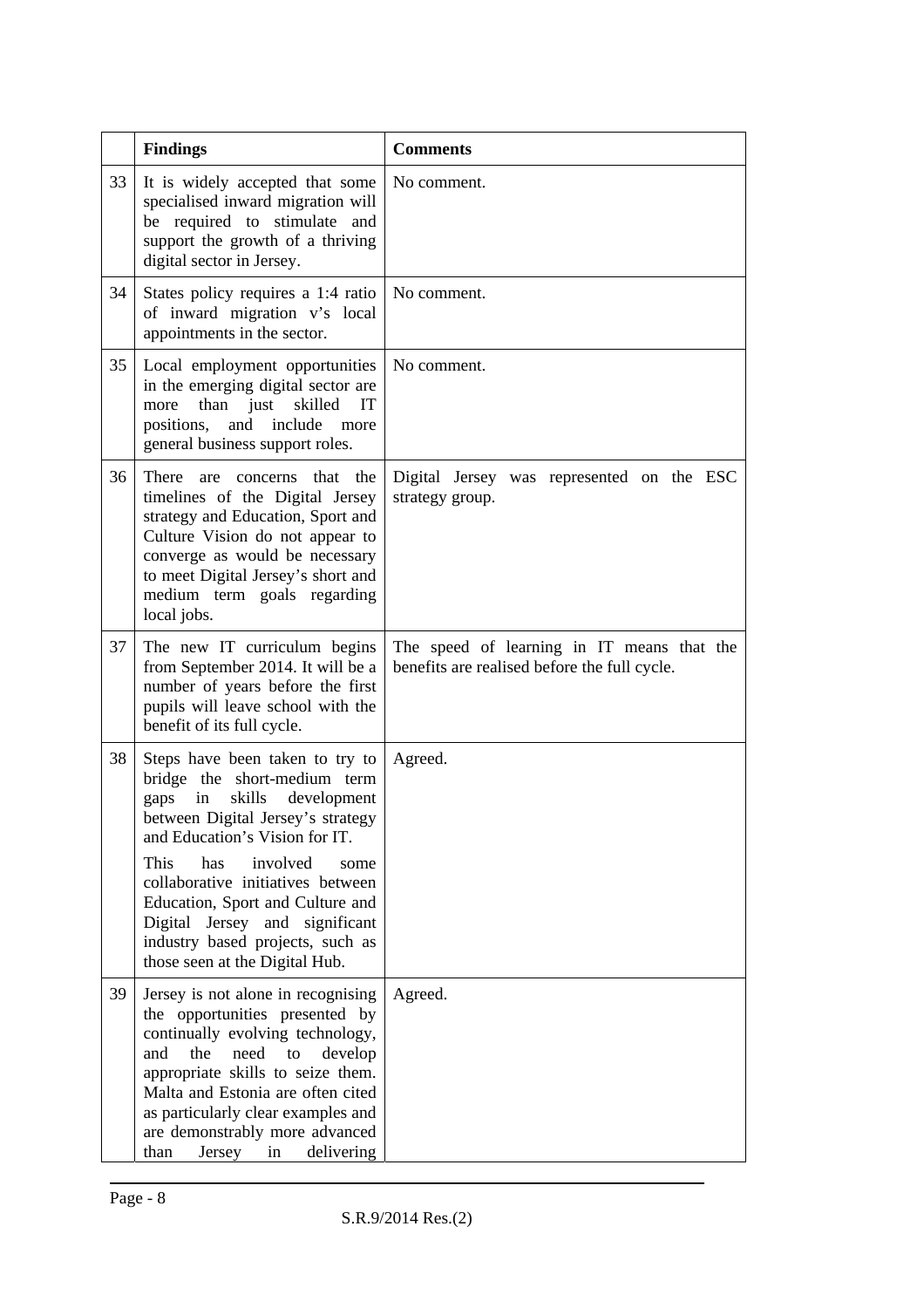|    | <b>Findings</b>                                                                                                                                                                                                                                                                                                                                                                                   | <b>Comments</b>                                                                            |
|----|---------------------------------------------------------------------------------------------------------------------------------------------------------------------------------------------------------------------------------------------------------------------------------------------------------------------------------------------------------------------------------------------------|--------------------------------------------------------------------------------------------|
| 33 | It is widely accepted that some<br>specialised inward migration will<br>be required to stimulate and<br>support the growth of a thriving<br>digital sector in Jersey.                                                                                                                                                                                                                             | No comment.                                                                                |
| 34 | States policy requires a 1:4 ratio<br>of inward migration v's local<br>appointments in the sector.                                                                                                                                                                                                                                                                                                | No comment.                                                                                |
| 35 | Local employment opportunities<br>in the emerging digital sector are<br>skilled<br>IT<br>than just<br>more<br>positions,<br>and<br>include<br>more<br>general business support roles.                                                                                                                                                                                                             | No comment.                                                                                |
| 36 | There are concerns that the<br>timelines of the Digital Jersey<br>strategy and Education, Sport and<br>Culture Vision do not appear to<br>converge as would be necessary<br>to meet Digital Jersey's short and<br>medium term goals regarding<br>local jobs.                                                                                                                                      | Digital Jersey was represented on the ESC<br>strategy group.                               |
| 37 | The new IT curriculum begins<br>from September 2014. It will be a<br>number of years before the first<br>pupils will leave school with the<br>benefit of its full cycle.                                                                                                                                                                                                                          | The speed of learning in IT means that the<br>benefits are realised before the full cycle. |
| 38 | Steps have been taken to try to<br>bridge the short-medium term<br>skills<br>development<br>gaps<br>in<br>between Digital Jersey's strategy<br>and Education's Vision for IT.<br>involved<br>This<br>has<br>some<br>collaborative initiatives between<br>Education, Sport and Culture and<br>Digital Jersey and significant<br>industry based projects, such as<br>those seen at the Digital Hub. | Agreed.                                                                                    |
| 39 | Jersey is not alone in recognising<br>the opportunities presented by<br>continually evolving technology,<br>need<br>and<br>the<br>to<br>develop<br>appropriate skills to seize them.<br>Malta and Estonia are often cited<br>as particularly clear examples and<br>are demonstrably more advanced<br>in<br>than<br>Jersey<br>delivering                                                           | Agreed.                                                                                    |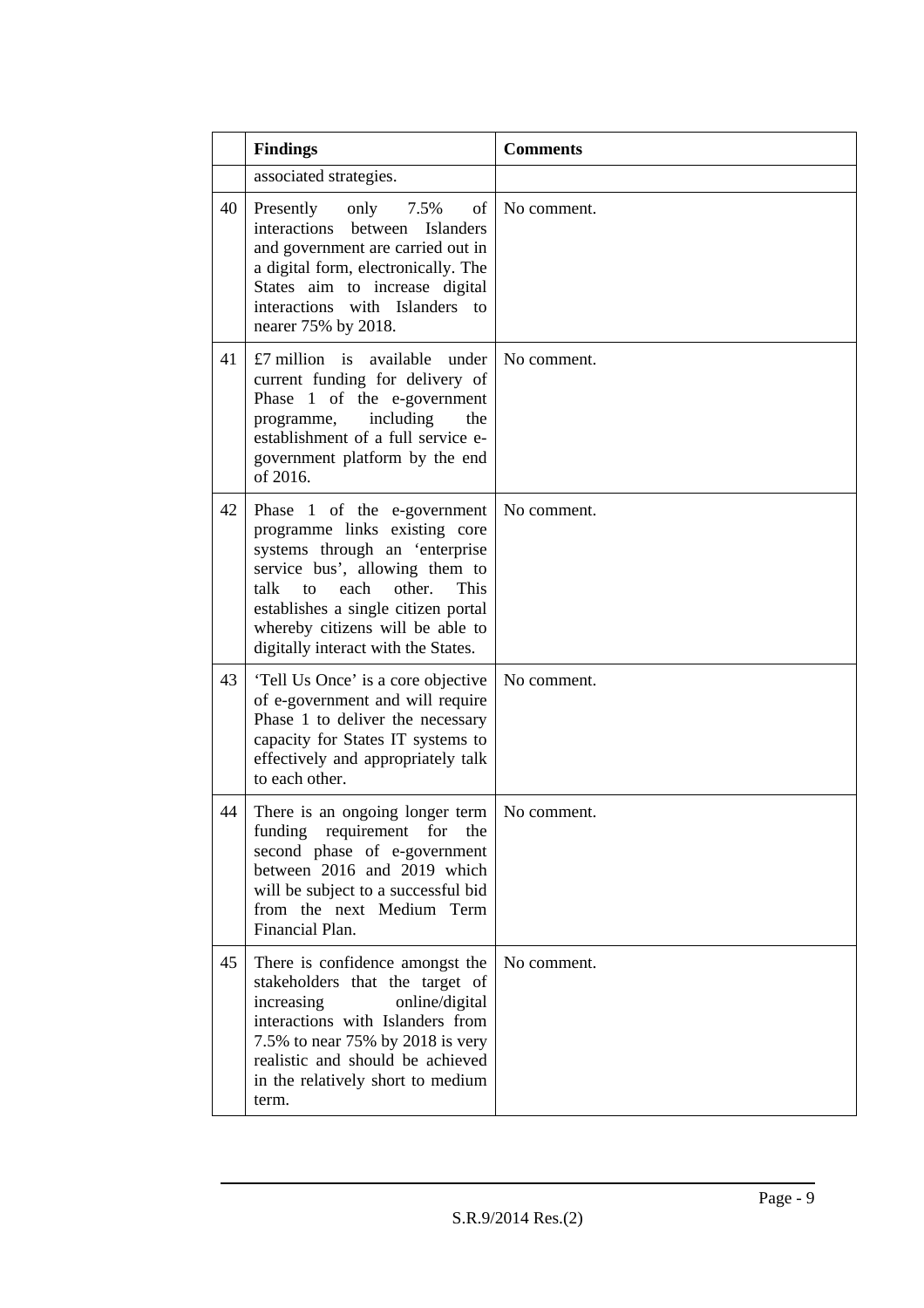|    | <b>Findings</b>                                                                                                                                                                                                                                                                            | <b>Comments</b> |
|----|--------------------------------------------------------------------------------------------------------------------------------------------------------------------------------------------------------------------------------------------------------------------------------------------|-----------------|
|    | associated strategies.                                                                                                                                                                                                                                                                     |                 |
| 40 | of<br>Presently<br>only<br>7.5%<br>interactions<br>between<br><b>Islanders</b><br>and government are carried out in<br>a digital form, electronically. The<br>States aim to increase digital<br>interactions with Islanders to<br>nearer 75% by 2018.                                      | No comment.     |
| 41 | £7 million is available under<br>current funding for delivery of<br>Phase 1 of the e-government<br>including<br>programme,<br>the<br>establishment of a full service e-<br>government platform by the end<br>of 2016.                                                                      | No comment.     |
| 42 | Phase 1 of the e-government<br>programme links existing core<br>systems through an 'enterprise<br>service bus', allowing them to<br>each<br>other.<br>This<br>talk<br>to<br>establishes a single citizen portal<br>whereby citizens will be able to<br>digitally interact with the States. | No comment.     |
| 43 | 'Tell Us Once' is a core objective<br>of e-government and will require<br>Phase 1 to deliver the necessary<br>capacity for States IT systems to<br>effectively and appropriately talk<br>to each other.                                                                                    | No comment.     |
| 44 | There is an ongoing longer term<br>funding requirement for the<br>second phase of e-government<br>between 2016 and 2019 which<br>will be subject to a successful bid<br>from the next Medium Term<br>Financial Plan.                                                                       | No comment.     |
| 45 | There is confidence amongst the<br>stakeholders that the target of<br>online/digital<br>increasing<br>interactions with Islanders from<br>7.5% to near 75% by 2018 is very<br>realistic and should be achieved<br>in the relatively short to medium<br>term.                               | No comment.     |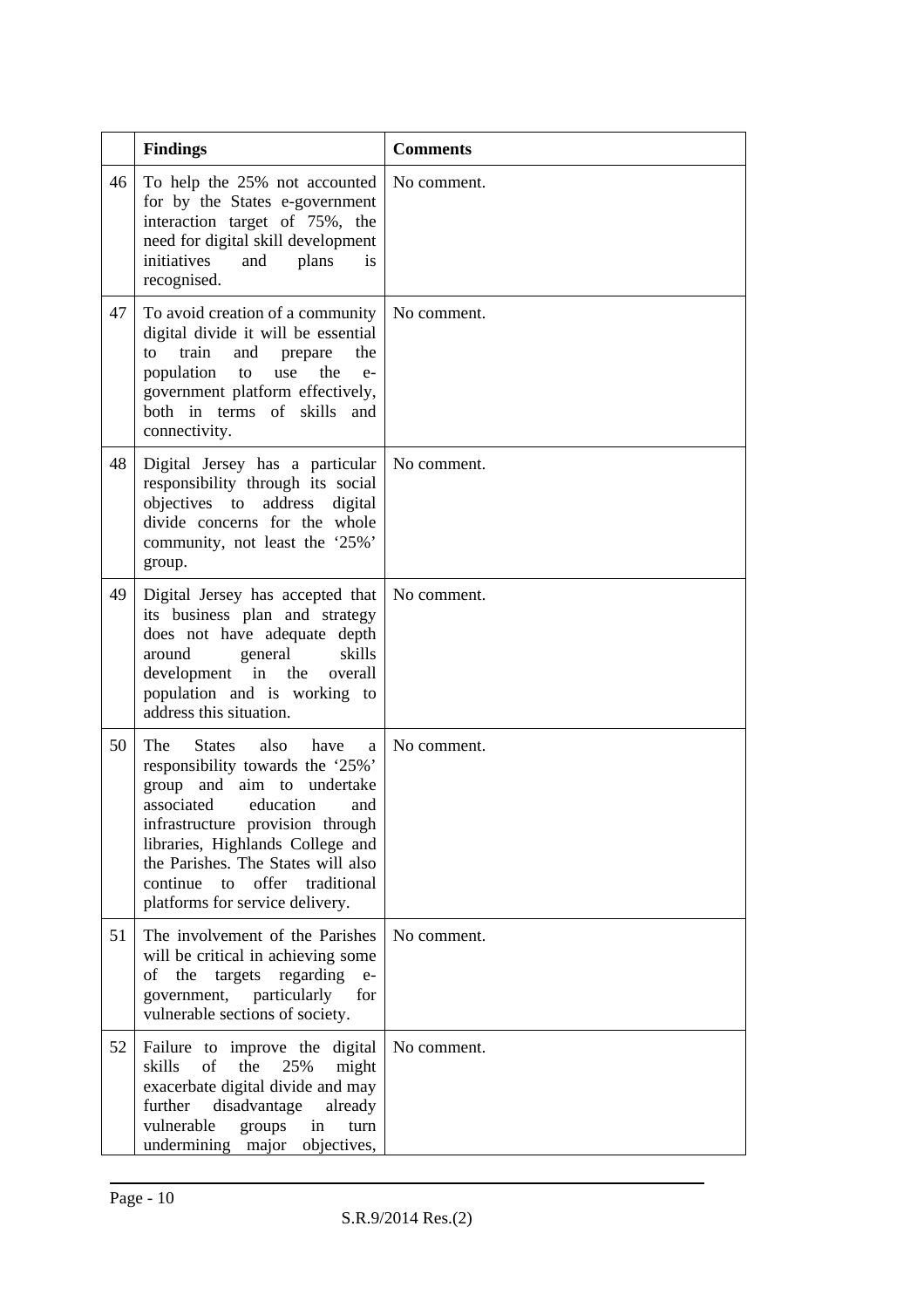|    | <b>Findings</b>                                                                                                                                                                                                                                                                                                                | <b>Comments</b> |
|----|--------------------------------------------------------------------------------------------------------------------------------------------------------------------------------------------------------------------------------------------------------------------------------------------------------------------------------|-----------------|
| 46 | To help the 25% not accounted<br>for by the States e-government<br>interaction target of 75%, the<br>need for digital skill development<br>initiatives<br>and<br>plans<br>is<br>recognised.                                                                                                                                    | No comment.     |
| 47 | To avoid creation of a community<br>digital divide it will be essential<br>train<br>and<br>the<br>prepare<br>to<br>population<br>use<br>the<br>to<br>$e-$<br>government platform effectively,<br>both in terms of skills and<br>connectivity.                                                                                  | No comment.     |
| 48 | Digital Jersey has a particular<br>responsibility through its social<br>objectives to address digital<br>divide concerns for the whole<br>community, not least the '25%'<br>group.                                                                                                                                             | No comment.     |
| 49 | Digital Jersey has accepted that<br>its business plan and strategy<br>does not have adequate depth<br>around<br>general<br>skills<br>development in the overall<br>population and is working to<br>address this situation.                                                                                                     | No comment.     |
| 50 | The<br>also have<br>States<br>a<br>responsibility towards the '25%'<br>group and aim to undertake<br>associated<br>education<br>and<br>infrastructure provision through<br>libraries, Highlands College and<br>the Parishes. The States will also<br>continue<br>offer<br>traditional<br>to<br>platforms for service delivery. | No comment.     |
| 51 | The involvement of the Parishes<br>will be critical in achieving some<br>the<br>regarding<br>targets<br>οf<br>$e-$<br>particularly<br>government,<br>for<br>vulnerable sections of society.                                                                                                                                    | No comment.     |
| 52 | Failure to improve the digital<br>of<br>the<br>25%<br>skills<br>might<br>exacerbate digital divide and may<br>further<br>disadvantage<br>already<br>vulnerable<br>groups<br>in<br>turn<br>undermining major<br>objectives,                                                                                                     | No comment.     |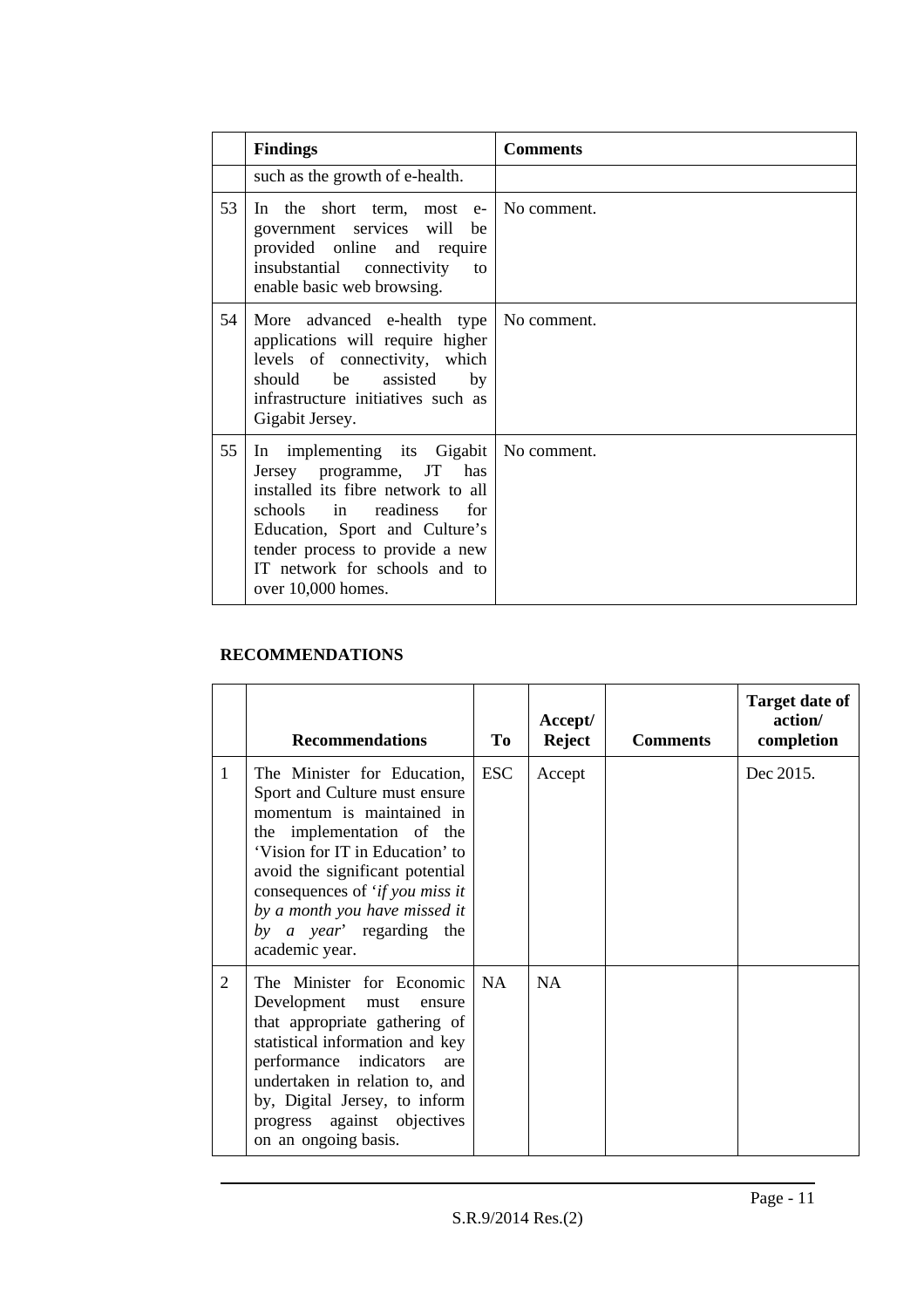|    | <b>Findings</b>                                                                                                                                                                                                                                          | <b>Comments</b> |
|----|----------------------------------------------------------------------------------------------------------------------------------------------------------------------------------------------------------------------------------------------------------|-----------------|
|    | such as the growth of e-health.                                                                                                                                                                                                                          |                 |
| 53 | In the short term, most e-<br>government services will<br>be<br>provided online and require<br>insubstantial connectivity<br>to<br>enable basic web browsing.                                                                                            | No comment.     |
| 54 | More advanced e-health type<br>applications will require higher<br>levels of connectivity, which<br>should be<br>assisted<br>by<br>infrastructure initiatives such as<br>Gigabit Jersey.                                                                 | No comment.     |
| 55 | In implementing its Gigabit<br>Jersey programme, JT has<br>installed its fibre network to all<br>schools in readiness<br>for<br>Education, Sport and Culture's<br>tender process to provide a new<br>IT network for schools and to<br>over 10,000 homes. | No comment.     |

### **RECOMMENDATIONS**

|   | <b>Recommendations</b>                                                                                                                                                                                                                                                                                         | To         | Accept/<br><b>Reject</b> | <b>Comments</b> | <b>Target date of</b><br>action/<br>completion |
|---|----------------------------------------------------------------------------------------------------------------------------------------------------------------------------------------------------------------------------------------------------------------------------------------------------------------|------------|--------------------------|-----------------|------------------------------------------------|
| 1 | The Minister for Education,<br>Sport and Culture must ensure<br>momentum is maintained in<br>the implementation of the<br>'Vision for IT in Education' to<br>avoid the significant potential<br>consequences of 'if you miss it<br>by a month you have missed it<br>by a year' regarding the<br>academic year. | <b>ESC</b> | Accept                   |                 | Dec 2015.                                      |
| 2 | The Minister for Economic<br>Development must<br>ensure<br>that appropriate gathering of<br>statistical information and key<br>performance indicators<br>are<br>undertaken in relation to, and<br>by, Digital Jersey, to inform<br>progress against objectives<br>on an ongoing basis.                         | <b>NA</b>  | NA                       |                 |                                                |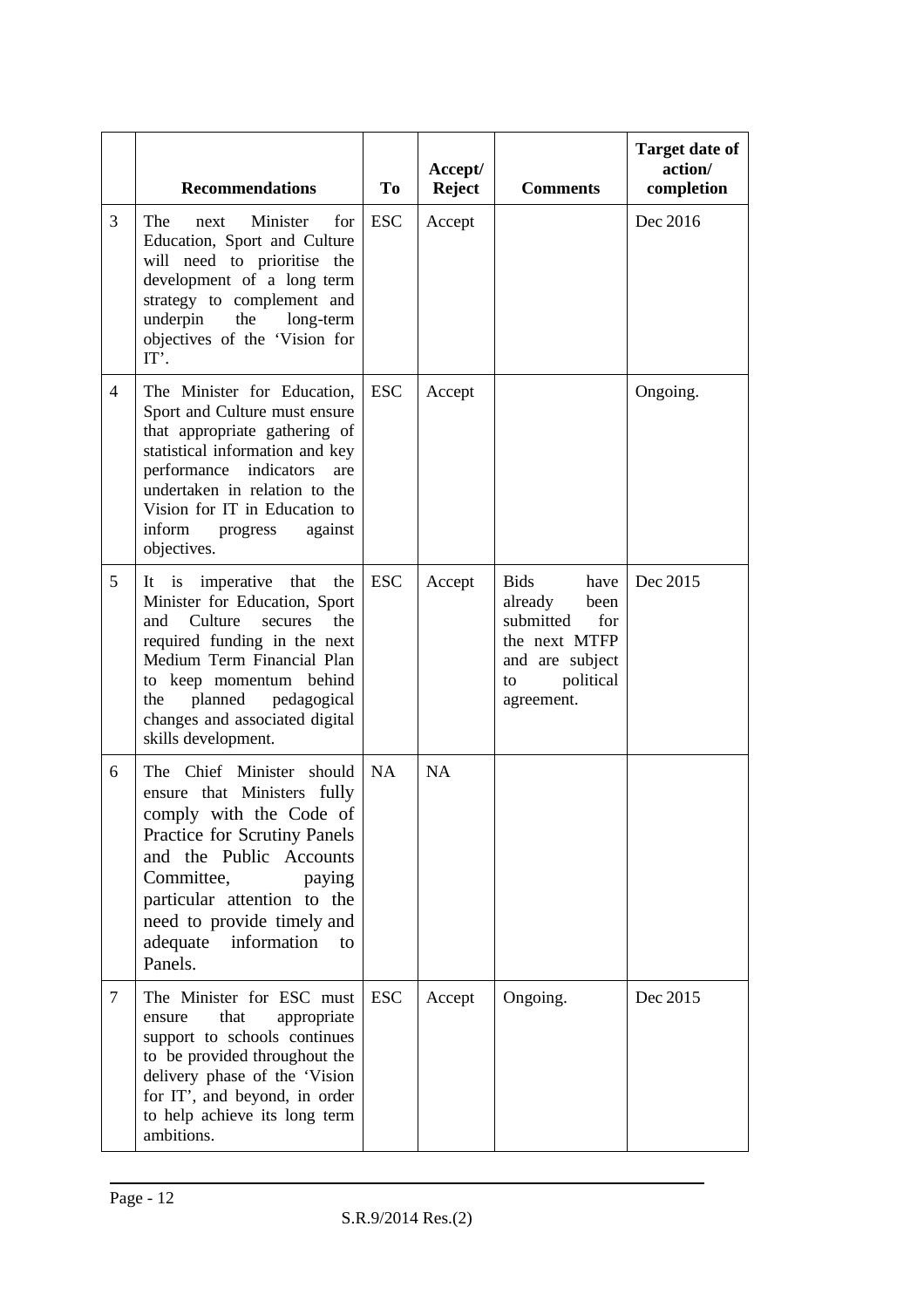|                | <b>Recommendations</b>                                                                                                                                                                                                                                                              | To         | Accept/<br><b>Reject</b> | <b>Comments</b>                                                                                                                 | <b>Target date of</b><br>action/<br>completion |
|----------------|-------------------------------------------------------------------------------------------------------------------------------------------------------------------------------------------------------------------------------------------------------------------------------------|------------|--------------------------|---------------------------------------------------------------------------------------------------------------------------------|------------------------------------------------|
| 3              | The<br>Minister<br>for<br>next<br>Education, Sport and Culture<br>will need to prioritise the<br>development of a long term<br>strategy to complement and<br>underpin<br>the<br>long-term<br>objectives of the 'Vision for<br>IT'.                                                  | <b>ESC</b> | Accept                   |                                                                                                                                 | Dec 2016                                       |
| $\overline{4}$ | The Minister for Education,<br>Sport and Culture must ensure<br>that appropriate gathering of<br>statistical information and key<br>performance indicators<br>are<br>undertaken in relation to the<br>Vision for IT in Education to<br>inform<br>against<br>progress<br>objectives. | <b>ESC</b> | Accept                   |                                                                                                                                 | Ongoing.                                       |
| 5              | It is imperative that the<br>Minister for Education, Sport<br>Culture<br>secures<br>and<br>the<br>required funding in the next<br>Medium Term Financial Plan<br>to keep momentum behind<br>planned<br>pedagogical<br>the<br>changes and associated digital<br>skills development.   | <b>ESC</b> | Accept                   | <b>Bids</b><br>have<br>already<br>been<br>submitted<br>for<br>the next MTFP<br>and are subject<br>political<br>to<br>agreement. | Dec 2015                                       |
| 6              | The Chief Minister<br>should<br>ensure that Ministers fully<br>comply with the Code of<br>Practice for Scrutiny Panels<br>and the Public Accounts<br>Committee,<br>paying<br>particular attention to the<br>need to provide timely and<br>adequate<br>information<br>to<br>Panels.  | <b>NA</b>  | <b>NA</b>                |                                                                                                                                 |                                                |
| 7              | The Minister for ESC must<br>that<br>appropriate<br>ensure<br>support to schools continues<br>to be provided throughout the<br>delivery phase of the 'Vision<br>for IT', and beyond, in order<br>to help achieve its long term<br>ambitions.                                        | <b>ESC</b> | Accept                   | Ongoing.                                                                                                                        | Dec 2015                                       |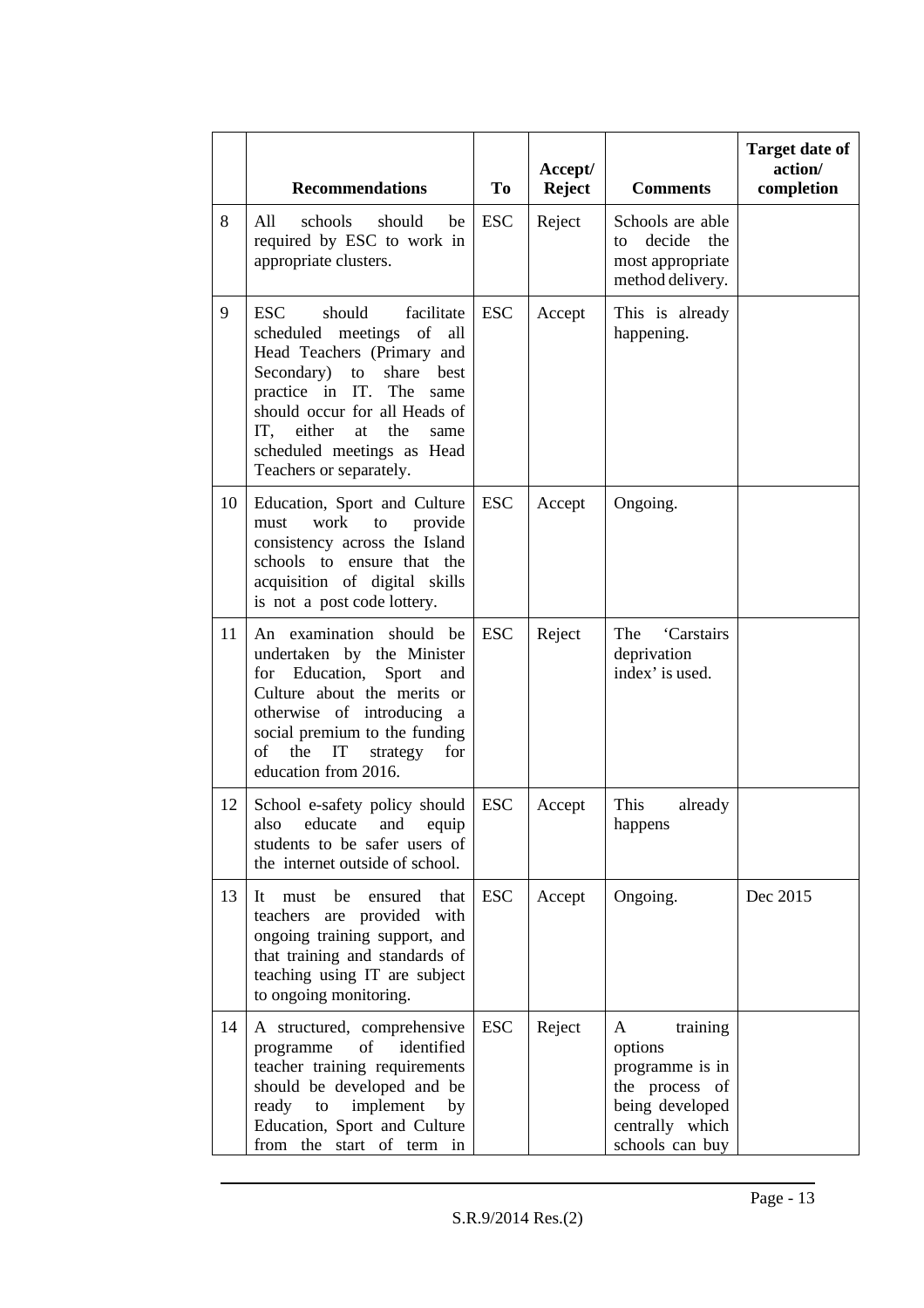|    | <b>Recommendations</b>                                                                                                                                                                                                                                                                            | To         | Accept/<br><b>Reject</b> | <b>Comments</b>                                                                                                        | <b>Target date of</b><br>action/<br>completion |
|----|---------------------------------------------------------------------------------------------------------------------------------------------------------------------------------------------------------------------------------------------------------------------------------------------------|------------|--------------------------|------------------------------------------------------------------------------------------------------------------------|------------------------------------------------|
| 8  | All<br>schools<br>should<br>be<br>required by ESC to work in<br>appropriate clusters.                                                                                                                                                                                                             | <b>ESC</b> | Reject                   | Schools are able<br>decide<br>the<br>to<br>most appropriate<br>method delivery.                                        |                                                |
| 9  | <b>ESC</b><br>should<br>facilitate<br>scheduled meetings<br>of<br>all<br>Head Teachers (Primary and<br>Secondary)<br>share<br>best<br>to<br>practice in IT. The same<br>should occur for all Heads of<br>IT, either<br>the<br>at<br>same<br>scheduled meetings as Head<br>Teachers or separately. | <b>ESC</b> | Accept                   | This is already<br>happening.                                                                                          |                                                |
| 10 | Education, Sport and Culture<br>work<br>provide<br>must<br>to<br>consistency across the Island<br>schools to ensure that the<br>acquisition of digital skills<br>is not a post code lottery.                                                                                                      | <b>ESC</b> | Accept                   | Ongoing.                                                                                                               |                                                |
| 11 | An examination should be<br>undertaken by the Minister<br>for Education, Sport<br>and<br>Culture about the merits or<br>otherwise of introducing a<br>social premium to the funding<br>the<br>IT<br>of<br>strategy<br>for<br>education from 2016.                                                 | <b>ESC</b> | Reject                   | The<br>'Carstairs<br>deprivation<br>index' is used.                                                                    |                                                |
| 12 | School e-safety policy should<br>also educate and equip<br>students to be safer users of<br>the internet outside of school.                                                                                                                                                                       | <b>ESC</b> | Accept                   | This<br>already<br>happens                                                                                             |                                                |
| 13 | It<br>must be<br>ensured<br>that<br>teachers are provided with<br>ongoing training support, and<br>that training and standards of<br>teaching using IT are subject<br>to ongoing monitoring.                                                                                                      | <b>ESC</b> | Accept                   | Ongoing.                                                                                                               | Dec 2015                                       |
| 14 | A structured, comprehensive<br>of<br>identified<br>programme<br>teacher training requirements<br>should be developed and be<br>implement<br>ready<br>to<br>by<br>Education, Sport and Culture<br>from the start of term in                                                                        | <b>ESC</b> | Reject                   | A<br>training<br>options<br>programme is in<br>the process of<br>being developed<br>centrally which<br>schools can buy |                                                |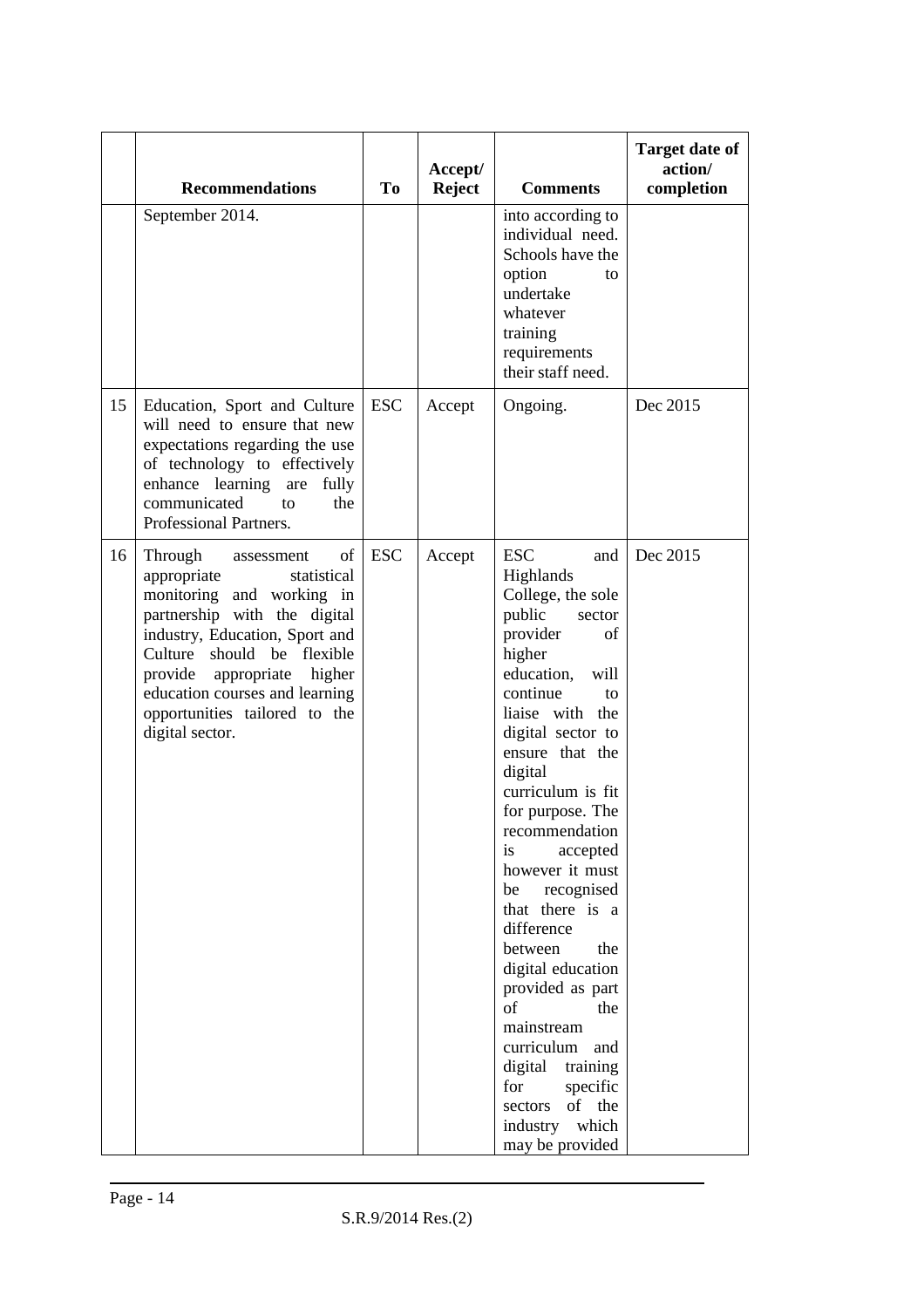|    | <b>Recommendations</b>                                                                                                                                                                                                                                                                                     | T <sub>o</sub> | Accept/<br><b>Reject</b> | <b>Comments</b>                                                                                                                                                                                                                                                                                                                                                                                                                                                                                                                                                                       | <b>Target date of</b><br>action/<br>completion |
|----|------------------------------------------------------------------------------------------------------------------------------------------------------------------------------------------------------------------------------------------------------------------------------------------------------------|----------------|--------------------------|---------------------------------------------------------------------------------------------------------------------------------------------------------------------------------------------------------------------------------------------------------------------------------------------------------------------------------------------------------------------------------------------------------------------------------------------------------------------------------------------------------------------------------------------------------------------------------------|------------------------------------------------|
|    | September 2014.                                                                                                                                                                                                                                                                                            |                |                          | into according to<br>individual need.<br>Schools have the<br>option<br>to<br>undertake<br>whatever<br>training<br>requirements<br>their staff need.                                                                                                                                                                                                                                                                                                                                                                                                                                   |                                                |
| 15 | Education, Sport and Culture<br>will need to ensure that new<br>expectations regarding the use<br>of technology to effectively<br>enhance learning are<br>fully<br>communicated<br>the<br>to<br>Professional Partners.                                                                                     | <b>ESC</b>     | Accept                   | Ongoing.                                                                                                                                                                                                                                                                                                                                                                                                                                                                                                                                                                              | Dec 2015                                       |
| 16 | Through<br>of<br>assessment<br>appropriate<br>statistical<br>monitoring and working in<br>partnership with the digital<br>industry, Education, Sport and<br>Culture should be flexible<br>provide appropriate higher<br>education courses and learning<br>opportunities tailored to the<br>digital sector. | <b>ESC</b>     | Accept                   | <b>ESC</b><br>and<br>Highlands<br>College, the sole<br>public<br>sector<br>provider<br>of<br>higher<br>education,<br>will<br>continue<br>to<br>liaise with the<br>digital sector to<br>ensure that the<br>digital<br>curriculum is fit<br>for purpose. The<br>recommendation<br>is<br>accepted<br>however it must<br>recognised<br>be<br>that there is a<br>difference<br>between<br>the<br>digital education<br>provided as part<br>of<br>the<br>mainstream<br>curriculum and<br>digital<br>training<br>specific<br>for<br>of the<br>sectors<br>industry<br>which<br>may be provided | Dec 2015                                       |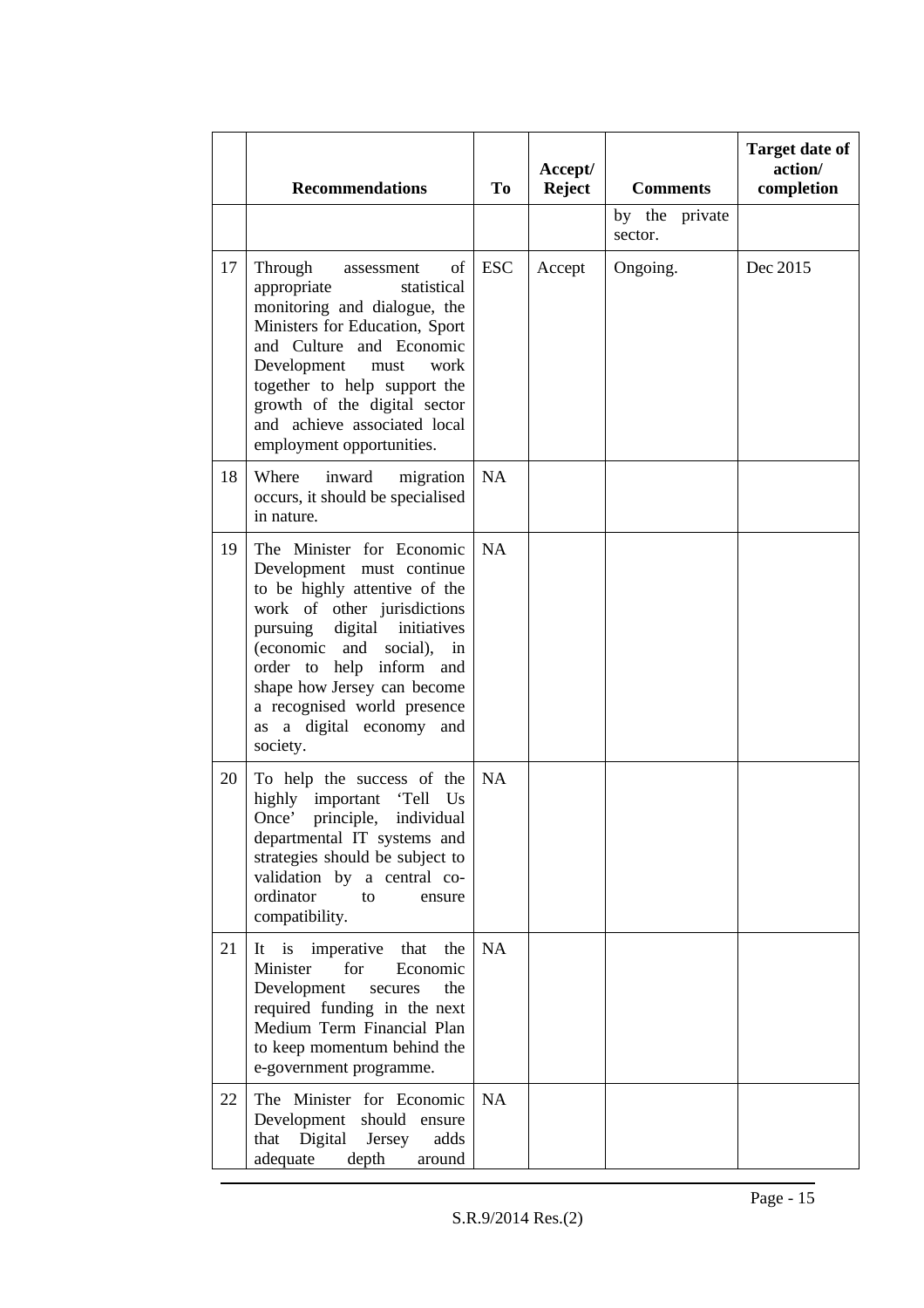|    | <b>Recommendations</b>                                                                                                                                                                                                                                                                                                            | <b>To</b>  | Accept/<br><b>Reject</b> | <b>Comments</b>           | <b>Target date of</b><br>action/<br>completion |
|----|-----------------------------------------------------------------------------------------------------------------------------------------------------------------------------------------------------------------------------------------------------------------------------------------------------------------------------------|------------|--------------------------|---------------------------|------------------------------------------------|
|    |                                                                                                                                                                                                                                                                                                                                   |            |                          | by the private<br>sector. |                                                |
| 17 | Through<br>of<br>assessment<br>appropriate<br>statistical<br>monitoring and dialogue, the<br>Ministers for Education, Sport<br>and Culture and Economic<br>Development<br>must<br>work<br>together to help support the<br>growth of the digital sector<br>and achieve associated local<br>employment opportunities.               | <b>ESC</b> | Accept                   | Ongoing.                  | Dec 2015                                       |
| 18 | Where<br>inward<br>migration<br>occurs, it should be specialised<br>in nature.                                                                                                                                                                                                                                                    | NA         |                          |                           |                                                |
| 19 | The Minister for Economic<br>Development must continue<br>to be highly attentive of the<br>work of other jurisdictions<br>digital initiatives<br>pursuing<br>(economic<br>and<br>social),<br>in<br>order to help inform and<br>shape how Jersey can become<br>a recognised world presence<br>as a digital economy and<br>society. | NA         |                          |                           |                                                |
| 20 | To help the success of the<br>highly<br>important<br>'Tell<br>Us<br>Once' principle, individual<br>departmental IT systems and<br>strategies should be subject to<br>validation by a central co-<br>ordinator<br>to<br>ensure<br>compatibility.                                                                                   | <b>NA</b>  |                          |                           |                                                |
| 21 | imperative<br>It is<br>that<br>the<br>Minister<br>for<br>Economic<br>Development<br>secures<br>the<br>required funding in the next<br>Medium Term Financial Plan<br>to keep momentum behind the<br>e-government programme.                                                                                                        | NA         |                          |                           |                                                |
| 22 | The Minister for Economic<br>Development should ensure<br>that Digital Jersey<br>adds<br>adequate<br>depth<br>around                                                                                                                                                                                                              | <b>NA</b>  |                          |                           |                                                |